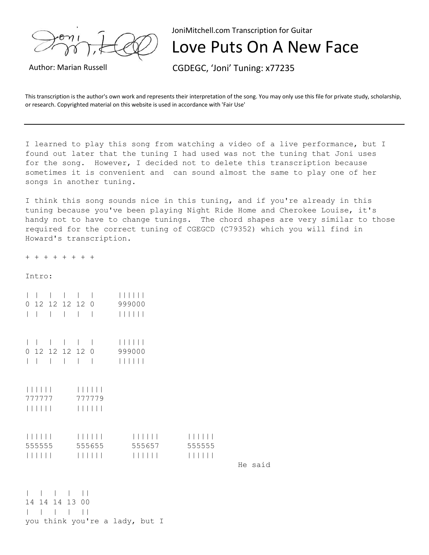

JoniMitchell.com Transcription for Guitar

Love Puts On A New Face

Author: Marian Russell **CGDEGC, 'Joni' Tuning: x77235** 

This transcription is the author's own work and represents their interpretation of the song. You may only use this file for private study, scholarship, or research. Copyrighted material on this website is used in accordance with 'Fair Use'

I learned to play this song from watching a video of a live performance, but I found out later that the tuning I had used was not the tuning that Joni uses for the song. However, I decided not to delete this transcription because sometimes it is convenient and can sound almost the same to play one of her songs in another tuning.

I think this song sounds nice in this tuning, and if you're already in this tuning because you've been playing Night Ride Home and Cherokee Louise, it's handy not to have to change tunings. The chord shapes are very similar to those required for the correct tuning of CGEGCD (C79352) which you will find in Howard's transcription.

+ + + + + + + +

Intro:

| 12<br>0 | $12 \,$       | 12 12<br>$\overline{0}$ | 999000<br>$\vert \ \vert$ |        |         |
|---------|---------------|-------------------------|---------------------------|--------|---------|
| 12<br>0 | L<br>12 12 12 | - 0                     | 999000<br>$\perp$         |        |         |
| 777777  |               | 777779                  |                           |        |         |
| 555555  |               | 555655                  | 555657<br>$\mathbf{L}$    | 555555 | He said |

| | | | || 14 14 14 13 00 | | | | || you think you're a lady, but I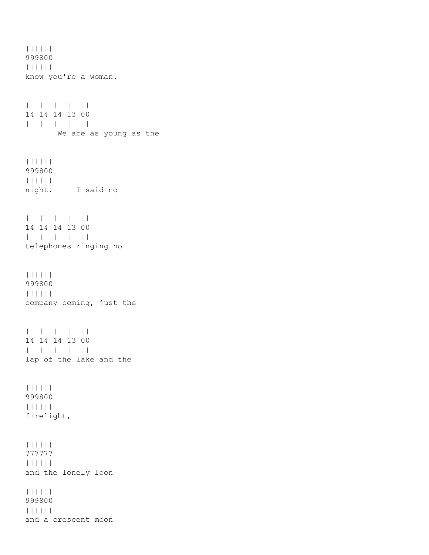|||||| 999800 |||||| know you're a woman. | | | | || 14 14 14 13 00 | | | | || We are as young as the |||||| 999800 |||||| night. I said no | | | | || 14 14 14 13 00 | | | | || telephones ringing no |||||| 999800 |||||| company coming, just the | | | | || 14 14 14 13 00 | | | | || lap of the lake and the |||||| 999800 |||||| firelight, |||||| 777777 |||||| and the lonely loon |||||| 999800 |||||| and a crescent moon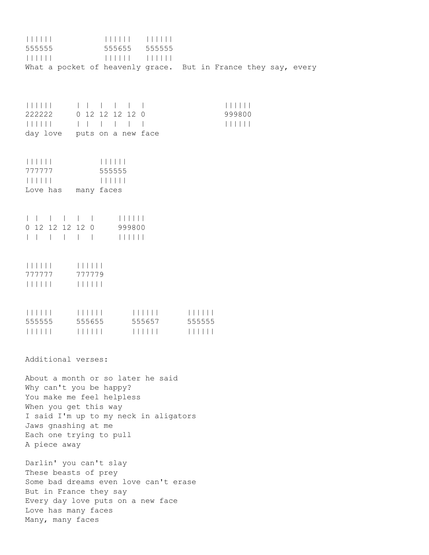$|||$ || $|||$ ||  $|||$ || $|||$ || $|||$ || $|||$ || $|||$ || $|||$ || $|||$ || $|||$ || $|||$ 555555 555655 555555 |||||| |||||| |||||| What a pocket of heavenly grace. But in France they say, every |||||| | | | | | | |||||| 222222 0 12 12 12 12 0 999800 |||||| | | | | | | |||||| day love puts on a new face |||||| |||||| 777777 555555 |||||| |||||| Love has many faces | | | | | | |||||| 0 12 12 12 12 0 999800 | | | | | | |||||| |||||| |||||| 777777 777779 |||||| |||||| |||||| |||||| |||||| |||||| 555555 555655 555657 555555 |||||| |||||| |||||| |||||| Additional verses: About a month or so later he said Why can't you be happy? You make me feel helpless When you get this way I said I'm up to my neck in aligators Jaws gnashing at me Each one trying to pull A piece away Darlin' you can't slay These beasts of prey Some bad dreams even love can't erase But in France they say Every day love puts on a new face Love has many faces

Many, many faces